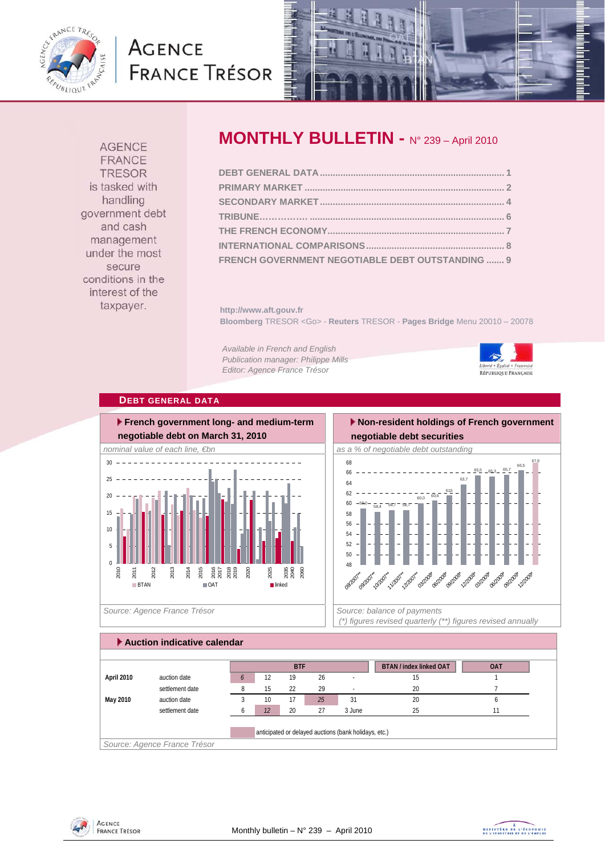

# **AGENCE FRANCE TRÉSOR**



**AGENCE** FRANCE **TRESOR** is tasked with handling government debt and cash management under the most secure conditions in the interest of the taxpayer.

# **MONTHLY BULLETIN -** N° 239 – April 2010

| FRENCH GOVERNMENT NEGOTIABLE DEBT OUTSTANDING  9 |  |
|--------------------------------------------------|--|

**http://www.aft.gouv.fr Bloomberg** TRESOR <Go> - **Reuters** TRESOR - **Pages Bridge** Menu 20010 – 20078

*Available in French and English Publication manager: Philippe Mills Editor: Agence France Trésor* 



### **DEBT GENERAL DATA**



 **Non-resident holdings of French government negotiable debt securities** 



 *(\*) figures revised quarterly (\*\*) figures revised annually* 

|            |                 | <b>BTF</b> |    | <b>BTAN / index linked OAT</b> | <b>OAT</b> |        |    |  |
|------------|-----------------|------------|----|--------------------------------|------------|--------|----|--|
| April 2010 | auction date    | 6          | 12 | 19                             | 26         | ٠.     | 15 |  |
|            | settlement date |            | 15 | 22                             | 29         |        | 20 |  |
| May 2010   | auction date    |            | 10 | 17                             | 25         | 31     | 20 |  |
|            | settlement date |            | 12 | 20                             | 27         | 3 June | 25 |  |



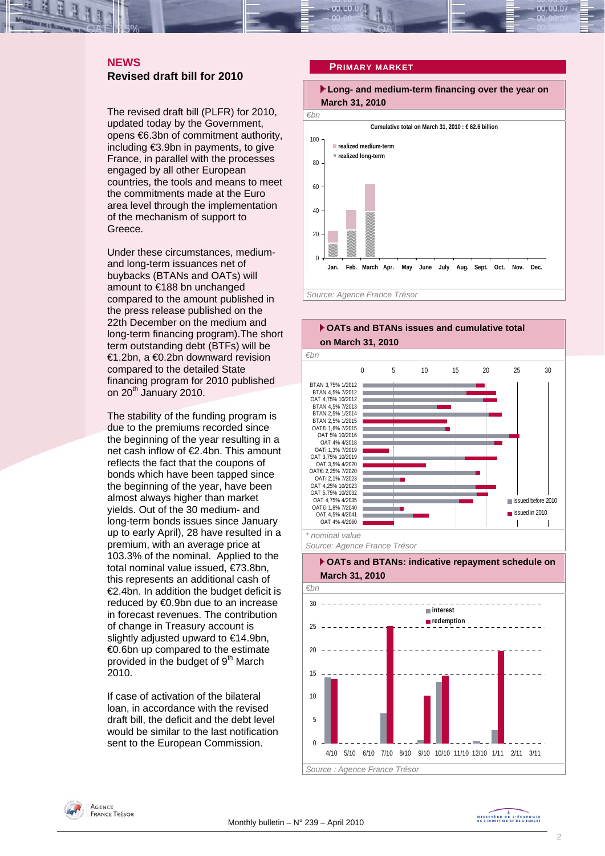# **NEWS Revised draft bill for 2010**

The revised draft bill (PLFR) for 2010, updated today by the Government, opens €6.3bn of commitment authority, including €3.9bn in payments, to give France, in parallel with the processes engaged by all other European countries, the tools and means to meet the commitments made at the Euro area level through the implementation of the mechanism of support to Greece.

Under these circumstances, mediumand long-term issuances net of buybacks (BTANs and OATs) will amount to €188 bn unchanged compared to the amount published in the press release published on the 22th December on the medium and long-term financing program).The short term outstanding debt (BTFs) will be €1.2bn, a €0.2bn downward revision compared to the detailed State financing program for 2010 published on 20<sup>th</sup> January 2010.

The stability of the funding program is due to the premiums recorded since the beginning of the year resulting in a net cash inflow of €2.4bn. This amount reflects the fact that the coupons of bonds which have been tapped since the beginning of the year, have been almost always higher than market yields. Out of the 30 medium- and long-term bonds issues since January up to early April), 28 have resulted in a premium, with an average price at 103.3% of the nominal. Applied to the total nominal value issued, €73.8bn, this represents an additional cash of €2.4bn. In addition the budget deficit is reduced by €0.9bn due to an increase in forecast revenues. The contribution of change in Treasury account is slightly adjusted upward to €14.9bn, €0.6bn up compared to the estimate provided in the budget of 9<sup>th</sup> March 2010.

If case of activation of the bilateral loan, in accordance with the revised draft bill, the deficit and the debt level would be similar to the last notification sent to the European Commission.

### **PRIMARY MARKET**









4/10 5/10 6/10 7/10 8/10 9/10 10/10 11/10 12/10 1/11 2/11 3/11

*Source : Agence France Trésor* 



 $\theta$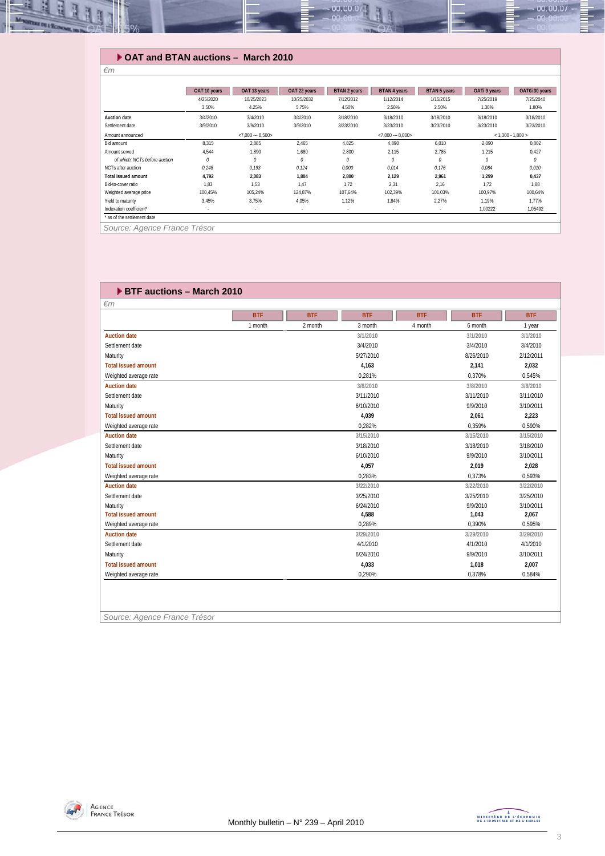

### **OAT and BTAN auctions – March 2010**

| 4/25/2020<br>3.50%<br>3/4/2010<br><b>Auction date</b><br>3/9/2010<br>Settlement date<br>Amount announced<br>8,315<br>Bid amount<br>4,544<br>Amount served | 10/25/2023<br>4.25%<br>3/4/2010<br>3/9/2010<br>$< 7,000 - 8,500$<br>2,885<br>1,890 | 10/25/2032<br>5.75%<br>3/4/2010<br>3/9/2010<br>2,465<br>1,680 | 7/12/2012<br>4.50%<br>3/18/2010<br>3/23/2010<br>4,825 | 1/12/2014<br>2.50%<br>3/18/2010<br>3/23/2010<br>$< 7,000 - 8,000 >$<br>4,890 | 1/15/2015<br>2.50%<br>3/18/2010<br>3/23/2010<br>6,010 | 7/25/2019<br>1.30%<br>3/18/2010<br>3/23/2010<br>2,090 | 7/25/2040<br>1.80%<br>3/18/2010<br>3/23/2010<br>$< 1,300 - 1,800 >$ |
|-----------------------------------------------------------------------------------------------------------------------------------------------------------|------------------------------------------------------------------------------------|---------------------------------------------------------------|-------------------------------------------------------|------------------------------------------------------------------------------|-------------------------------------------------------|-------------------------------------------------------|---------------------------------------------------------------------|
|                                                                                                                                                           |                                                                                    |                                                               |                                                       |                                                                              |                                                       |                                                       |                                                                     |
|                                                                                                                                                           |                                                                                    |                                                               |                                                       |                                                                              |                                                       |                                                       |                                                                     |
|                                                                                                                                                           |                                                                                    |                                                               |                                                       |                                                                              |                                                       |                                                       |                                                                     |
|                                                                                                                                                           |                                                                                    |                                                               |                                                       |                                                                              |                                                       |                                                       |                                                                     |
|                                                                                                                                                           |                                                                                    |                                                               |                                                       |                                                                              |                                                       |                                                       |                                                                     |
|                                                                                                                                                           |                                                                                    |                                                               |                                                       |                                                                              |                                                       |                                                       | 0,802                                                               |
|                                                                                                                                                           |                                                                                    |                                                               | 2,800                                                 | 2,115                                                                        | 2,785                                                 | 1,215                                                 | 0,427                                                               |
| $\theta$<br>of which: NCTs before auction                                                                                                                 | $\theta$                                                                           | $\theta$                                                      | 0                                                     | 0                                                                            | $\theta$                                              | N                                                     | $\theta$                                                            |
| 0,248<br>NCTs after auction                                                                                                                               | 0.193                                                                              | 0,124                                                         | 0,000                                                 | 0,014                                                                        | 0,176                                                 | 0,084                                                 | 0,010                                                               |
| 4,792<br><b>Total issued amount</b>                                                                                                                       | 2,083                                                                              | 1,804                                                         | 2,800                                                 | 2,129                                                                        | 2,961                                                 | 1,299                                                 | 0,437                                                               |
| 1.83<br>Bid-to-cover ratio                                                                                                                                | 1.53                                                                               | 1.47                                                          | 1.72                                                  | 2,31                                                                         | 2.16                                                  | 1.72                                                  | 1.88                                                                |
| 100,45%<br>Weighted average price                                                                                                                         | 105,24%                                                                            | 124.87%                                                       | 107,64%                                               | 102,39%                                                                      | 101,03%                                               | 100.97%                                               | 100,64%                                                             |
| 3,45%<br>Yield to maturity                                                                                                                                | 3,75%                                                                              | 4,05%                                                         | 1,12%                                                 | 1,84%                                                                        | 2,27%                                                 | 1,19%                                                 | 1,77%                                                               |
| Indexation coefficient*                                                                                                                                   |                                                                                    | $\overline{\phantom{a}}$                                      | $\sim$                                                | $\sim$                                                                       |                                                       | 1,00222                                               | 1,05492                                                             |

*Source: Agence France Trésor* 

*€m* 

| $\epsilon$ m               |            |            |            |            |            |            |
|----------------------------|------------|------------|------------|------------|------------|------------|
|                            | <b>BTF</b> | <b>BTF</b> | <b>BTF</b> | <b>BTF</b> | <b>BTF</b> | <b>BTF</b> |
|                            | 1 month    | 2 month    | 3 month    | 4 month    | 6 month    | 1 year     |
| <b>Auction date</b>        |            |            | 3/1/2010   |            | 3/1/2010   | 3/1/2010   |
| Settlement date            |            |            | 3/4/2010   |            | 3/4/2010   | 3/4/2010   |
| Maturity                   |            |            | 5/27/2010  |            | 8/26/2010  | 2/12/2011  |
| <b>Total issued amount</b> |            |            | 4,163      |            | 2,141      | 2,032      |
| Weighted average rate      |            |            | 0,281%     |            | 0,370%     | 0,545%     |
| <b>Auction date</b>        |            |            | 3/8/2010   |            | 3/8/2010   | 3/8/2010   |
| Settlement date            |            |            | 3/11/2010  |            | 3/11/2010  | 3/11/2010  |
| Maturity                   |            |            | 6/10/2010  |            | 9/9/2010   | 3/10/2011  |
| <b>Total issued amount</b> |            |            | 4,039      |            | 2,061      | 2,223      |
| Weighted average rate      |            |            | 0.282%     |            | 0.359%     | 0,590%     |
| <b>Auction date</b>        |            |            | 3/15/2010  |            | 3/15/2010  | 3/15/2010  |
| Settlement date            |            |            | 3/18/2010  |            | 3/18/2010  | 3/18/2010  |
| Maturity                   |            |            | 6/10/2010  |            | 9/9/2010   | 3/10/2011  |
| <b>Total issued amount</b> |            |            | 4,057      |            | 2,019      | 2,028      |
| Weighted average rate      |            |            | 0,283%     |            | 0,373%     | 0,593%     |
| <b>Auction date</b>        |            |            | 3/22/2010  |            | 3/22/2010  | 3/22/2010  |
| Settlement date            |            |            | 3/25/2010  |            | 3/25/2010  | 3/25/2010  |
| Maturity                   |            |            | 6/24/2010  |            | 9/9/2010   | 3/10/2011  |
| <b>Total issued amount</b> |            |            | 4,588      |            | 1,043      | 2,067      |
| Weighted average rate      |            |            | 0,289%     |            | 0,390%     | 0,595%     |
| <b>Auction date</b>        |            |            | 3/29/2010  |            | 3/29/2010  | 3/29/2010  |
| Settlement date            |            |            | 4/1/2010   |            | 4/1/2010   | 4/1/2010   |
| Maturity                   |            |            | 6/24/2010  |            | 9/9/2010   | 3/10/2011  |
| <b>Total issued amount</b> |            |            | 4,033      |            | 1,018      | 2,007      |
| Weighted average rate      |            |            | 0,290%     |            | 0,378%     | 0,584%     |

*Source: Agence France Trésor* 

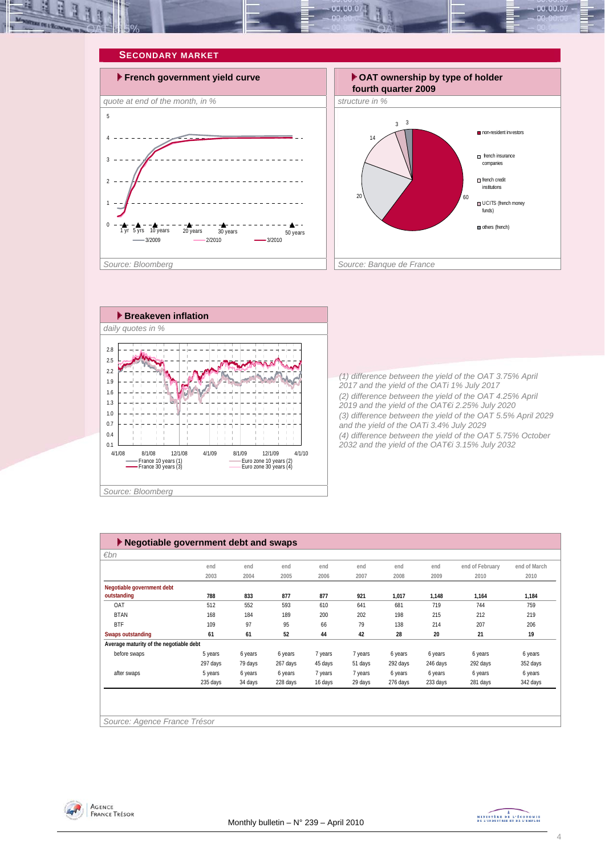







*(1) difference between the yield of the OAT 3.75% April 2017 and the yield of the OATi 1% July 2017 (2) difference between the yield of the OAT 4.25% April 2019 and the yield of the OAT€i 2.25% July 2020 (3) difference between the yield of the OAT 5.5% April 2029 and the yield of the OATi 3.4% July 2029 (4) difference between the yield of the OAT 5.75% October 2032 and the yield of the OAT€i 3.15% July 2032* 

| Negotiable government debt and swaps    |          |         |          |         |         |          |          |                 |              |  |  |
|-----------------------------------------|----------|---------|----------|---------|---------|----------|----------|-----------------|--------------|--|--|
| $\varepsilon$ bn                        |          |         |          |         |         |          |          |                 |              |  |  |
|                                         | end      | end     | end      | end     | end     | end      | end      | end of February | end of March |  |  |
|                                         | 2003     | 2004    | 2005     | 2006    | 2007    | 2008     | 2009     | 2010            | 2010         |  |  |
| Negotiable government debt              |          |         |          |         |         |          |          |                 |              |  |  |
| outstanding                             | 788      | 833     | 877      | 877     | 921     | 1,017    | 1,148    | 1,164           | 1,184        |  |  |
| OAT                                     | 512      | 552     | 593      | 610     | 641     | 681      | 719      | 744             | 759          |  |  |
| <b>BTAN</b>                             | 168      | 184     | 189      | 200     | 202     | 198      | 215      | 212             | 219          |  |  |
| <b>BTF</b>                              | 109      | 97      | 95       | 66      | 79      | 138      | 214      | 207             | 206          |  |  |
| <b>Swaps outstanding</b>                | 61       | 61      | 52       | 44      | 42      | 28       | 20       | 21              | 19           |  |  |
| Average maturity of the negotiable debt |          |         |          |         |         |          |          |                 |              |  |  |
| before swaps                            | 5 years  | 6 years | 6 years  | 7 years | 7 years | 6 years  | 6 years  | 6 years         | 6 years      |  |  |
|                                         | 297 days | 79 days | 267 days | 45 days | 51 days | 292 days | 246 days | 292 days        | 352 days     |  |  |
| after swaps                             | 5 years  | 6 years | 6 years  | 7 years | 7 years | 6 years  | 6 years  | 6 years         | 6 years      |  |  |
|                                         | 235 days | 34 days | 228 days | 16 days | 29 days | 276 days | 233 days | 281 days        | 342 days     |  |  |
|                                         |          |         |          |         |         |          |          |                 |              |  |  |
|                                         |          |         |          |         |         |          |          |                 |              |  |  |
|                                         |          |         |          |         |         |          |          |                 |              |  |  |
| Source: Agence France Trésor            |          |         |          |         |         |          |          |                 |              |  |  |



MINISTRE DE L'ÉCONOMIE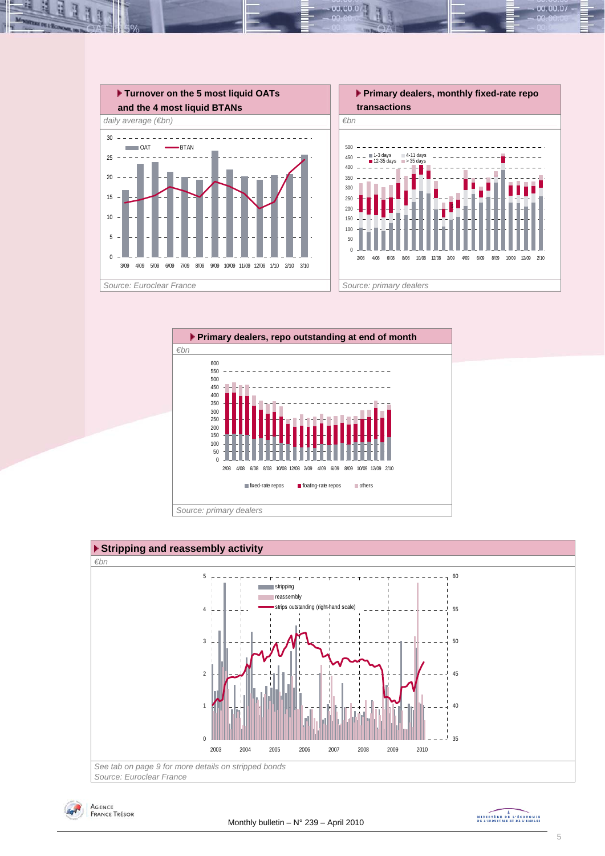

 $00.00.0$ 







MINISTRE DE L'ÉCONOMIE

00.00.07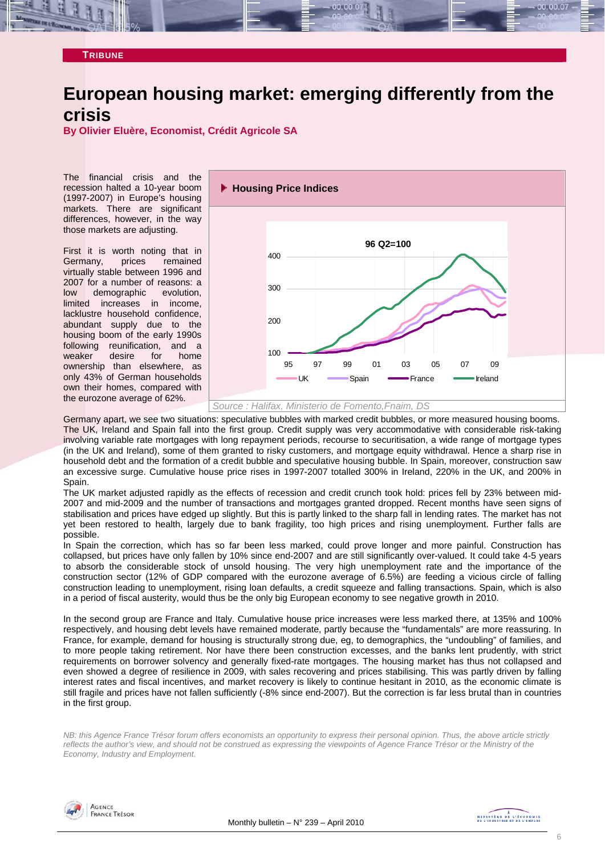### **TRIBUNE**

# **European housing market: emerging differently from the crisis**

**By Olivier Eluère, Economist, Crédit Agricole SA** 

The financial crisis and the recession halted a 10-year boom (1997-2007) in Europe's housing markets. There are significant differences, however, in the way those markets are adjusting.

First it is worth noting that in Germany, prices remained virtually stable between 1996 and 2007 for a number of reasons: a low demographic evolution, limited increases in income, lacklustre household confidence, abundant supply due to the housing boom of the early 1990s following reunification, and a weaker desire for home ownership than elsewhere, as only 43% of German households own their homes, compared with the eurozone average of 62%.



Germany apart, we see two situations: speculative bubbles with marked credit bubbles, or more measured housing booms. The UK, Ireland and Spain fall into the first group. Credit supply was very accommodative with considerable risk-taking involving variable rate mortgages with long repayment periods, recourse to securitisation, a wide range of mortgage types (in the UK and Ireland), some of them granted to risky customers, and mortgage equity withdrawal. Hence a sharp rise in household debt and the formation of a credit bubble and speculative housing bubble. In Spain, moreover, construction saw an excessive surge. Cumulative house price rises in 1997-2007 totalled 300% in Ireland, 220% in the UK, and 200% in Spain.

The UK market adjusted rapidly as the effects of recession and credit crunch took hold: prices fell by 23% between mid-2007 and mid-2009 and the number of transactions and mortgages granted dropped. Recent months have seen signs of stabilisation and prices have edged up slightly. But this is partly linked to the sharp fall in lending rates. The market has not yet been restored to health, largely due to bank fragility, too high prices and rising unemployment. Further falls are possible.

In Spain the correction, which has so far been less marked, could prove longer and more painful. Construction has collapsed, but prices have only fallen by 10% since end-2007 and are still significantly over-valued. It could take 4-5 years to absorb the considerable stock of unsold housing. The very high unemployment rate and the importance of the construction sector (12% of GDP compared with the eurozone average of 6.5%) are feeding a vicious circle of falling construction leading to unemployment, rising loan defaults, a credit squeeze and falling transactions. Spain, which is also in a period of fiscal austerity, would thus be the only big European economy to see negative growth in 2010.

In the second group are France and Italy. Cumulative house price increases were less marked there, at 135% and 100% respectively, and housing debt levels have remained moderate, partly because the "fundamentals" are more reassuring. In France, for example, demand for housing is structurally strong due, eg, to demographics, the "undoubling" of families, and to more people taking retirement. Nor have there been construction excesses, and the banks lent prudently, with strict requirements on borrower solvency and generally fixed-rate mortgages. The housing market has thus not collapsed and even showed a degree of resilience in 2009, with sales recovering and prices stabilising. This was partly driven by falling interest rates and fiscal incentives, and market recovery is likely to continue hesitant in 2010, as the economic climate is still fragile and prices have not fallen sufficiently (-8% since end-2007). But the correction is far less brutal than in countries in the first group.

*NB: this Agence France Trésor forum offers economists an opportunity to express their personal opinion. Thus, the above article strictly reflects the author's view, and should not be construed as expressing the viewpoints of Agence France Trésor or the Ministry of the Economy, Industry and Employment.* 

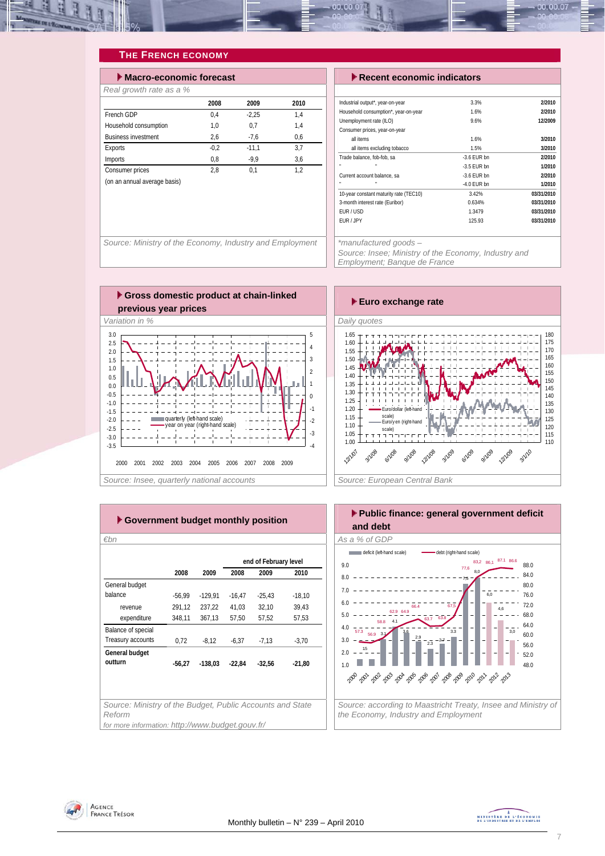

### **THE FRENCH ECONOMY**

| Macro-economic forecast      |        |         |      |  |  |  |  |  |  |
|------------------------------|--------|---------|------|--|--|--|--|--|--|
| Real growth rate as a %      |        |         |      |  |  |  |  |  |  |
|                              | 2008   | 2009    | 2010 |  |  |  |  |  |  |
| French GDP                   | 0.4    | $-2.25$ | 1.4  |  |  |  |  |  |  |
| Household consumption        | 1.0    | 0.7     | 1.4  |  |  |  |  |  |  |
| <b>Business investment</b>   | 2,6    | $-7.6$  | 0.6  |  |  |  |  |  |  |
| Exports                      | $-0.2$ | $-11.1$ | 3.7  |  |  |  |  |  |  |
| Imports                      | 0.8    | $-9.9$  | 3.6  |  |  |  |  |  |  |
| Consumer prices              | 2.8    | 0.1     | 1.2  |  |  |  |  |  |  |
| (on an annual average basis) |        |         |      |  |  |  |  |  |  |

### **Execent economic indicators**

| Industrial output*, year-on-year       | 3.3%          | 2/2010     |
|----------------------------------------|---------------|------------|
| Household consumption*, year-on-year   | 1.6%          | 2/2010     |
| Unemployment rate (ILO)                | 9.6%          | 12/2009    |
| Consumer prices, year-on-year          |               |            |
| all items                              | 1.6%          | 3/2010     |
| all items excluding tobacco            | 1.5%          | 3/2010     |
| Trade balance, fob-fob, sa             | $-3.6$ FUR bn | 2/2010     |
|                                        | $-3.5$ FUR bn | 1/2010     |
| Current account balance, sa            | $-3.6$ FUR bn | 2/2010     |
| m.                                     | $-4.0$ EUR bn | 1/2010     |
| 10-year constant maturity rate (TEC10) | 3.42%         | 03/31/2010 |
| 3-month interest rate (Euribor)        | 0.634%        | 03/31/2010 |
| FUR / USD                              | 1.3479        | 03/31/2010 |
| EUR / JPY                              | 125.93        | 03/31/2010 |

*Source: Ministry of the Economy, Industry and Employment \*manufactured goods –* 

*Source: Insee; Ministry of the Economy, Industry and Employment; Banque de France* 





| €bn                                                                 |          |           |          |                       |          |
|---------------------------------------------------------------------|----------|-----------|----------|-----------------------|----------|
|                                                                     |          |           |          | end of February level |          |
|                                                                     | 2008     | 2009      | 2008     | 2009                  | 2010     |
| General budget                                                      |          |           |          |                       |          |
| balance                                                             | $-56,99$ | $-129,91$ | $-16,47$ | $-25,43$              | $-18,10$ |
| revenue                                                             | 291,12   | 237.22    | 41.03    | 32.10                 | 39.43    |
| expenditure                                                         | 348,11   | 367,13    | 57,50    | 57,52                 | 57,53    |
| Balance of special                                                  |          |           |          |                       |          |
| Treasury accounts                                                   | 0,72     | $-8,12$   | $-6,37$  | $-7,13$               | $-3.70$  |
| General budget                                                      |          |           |          |                       |          |
| outturn                                                             | $-56,27$ | $-138.03$ | $-22,84$ | $-32,56$              | $-21,80$ |
|                                                                     |          |           |          |                       |          |
|                                                                     |          |           |          |                       |          |
|                                                                     |          |           |          |                       |          |
| Source: Ministry of the Budget, Public Accounts and State<br>Reform |          |           |          |                       |          |
| for more information: http://www.budget.gouv.fr/                    |          |           |          |                       |          |



AGENCE **FRANCE TRÉSOR**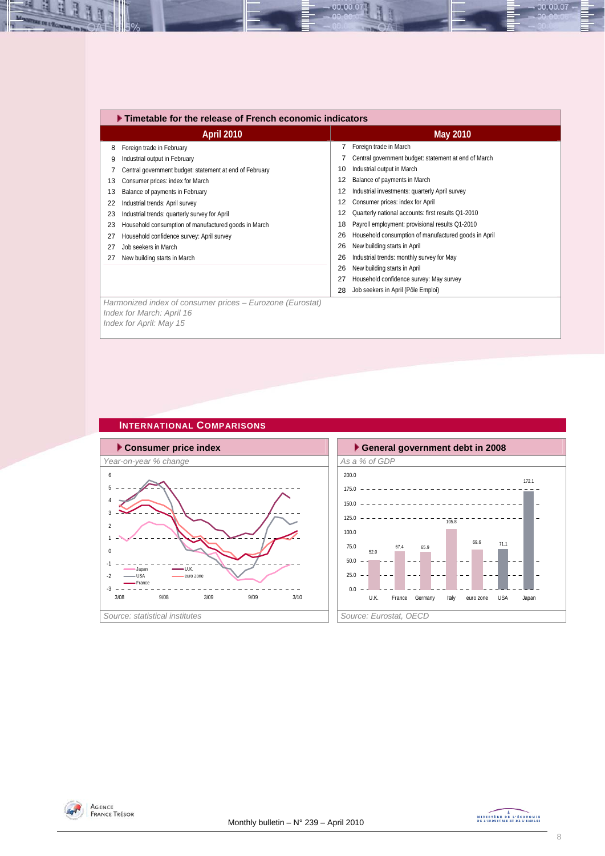|    | $\blacktriangleright$ Timetable for the release of French economic indicators          |    |                                                      |  |  |  |  |  |
|----|----------------------------------------------------------------------------------------|----|------------------------------------------------------|--|--|--|--|--|
|    | <b>April 2010</b>                                                                      |    | May 2010                                             |  |  |  |  |  |
| 8  | Foreign trade in February                                                              |    | Foreign trade in March                               |  |  |  |  |  |
| 9  | Industrial output in February                                                          |    | Central government budget: statement at end of March |  |  |  |  |  |
|    | Central government budget: statement at end of February                                | 10 | Industrial output in March                           |  |  |  |  |  |
| 13 | Consumer prices: index for March                                                       | 12 | Balance of payments in March                         |  |  |  |  |  |
| 13 | Balance of payments in February                                                        | 12 | Industrial investments: quarterly April survey       |  |  |  |  |  |
| 22 | Industrial trends: April survey                                                        | 12 | Consumer prices: index for April                     |  |  |  |  |  |
| 23 | Industrial trends: quarterly survey for April                                          | 12 | Quarterly national accounts: first results Q1-2010   |  |  |  |  |  |
| 23 | Household consumption of manufactured goods in March                                   | 18 | Payroll employment: provisional results Q1-2010      |  |  |  |  |  |
| 27 | Household confidence survey: April survey                                              | 26 | Household consumption of manufactured goods in April |  |  |  |  |  |
| 27 | Job seekers in March                                                                   | 26 | New building starts in April                         |  |  |  |  |  |
| 27 | New building starts in March                                                           | 26 | Industrial trends: monthly survey for May            |  |  |  |  |  |
|    |                                                                                        | 26 | New building starts in April                         |  |  |  |  |  |
|    |                                                                                        | 27 | Household confidence survey: May survey              |  |  |  |  |  |
|    |                                                                                        | 28 | Job seekers in April (Pôle Emploi)                   |  |  |  |  |  |
|    | Harmonized index of consumer prices - Eurozone (Eurostat)<br>Index for March: April 16 |    |                                                      |  |  |  |  |  |

00.00.07

*Index for April: May 15* 

즤 IJ

E









 $00.00.07$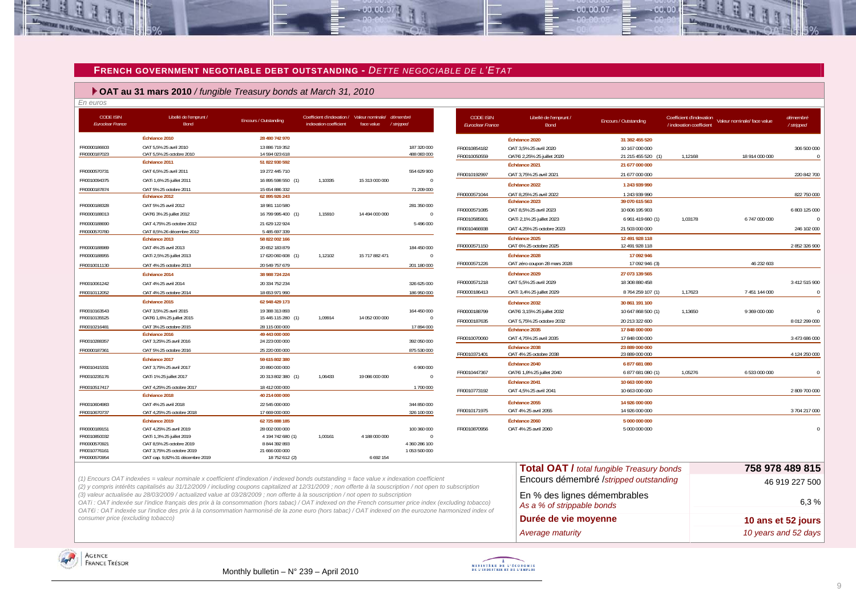#### **FRENCH GOVERNMENT NEGOTIABLE DEBT OUTSTANDING -** *DETTE NEGOCIABLE DE L'ETAT*

 $00,00,0$ 

#### **OAT au 31 mars 2010** */ fungible Treasury bonds at March 31, 2010*

*En euros* 

| <b>CODE ISIN</b><br><b>Euroclear France</b> | Libellé de l'emprunt /<br>Bond                                                                                                          | Encours / Outstanding                | Coefficient d'indexation / Valeur nominale/ démembré<br>indexation coefficient | face value     | / stripped                    | <b>CODE ISIN</b><br><b>Euroclear France</b> | Libellé de l'emprunt /<br><b>Bond</b>   | <b>Encours / Outstanding</b>                     |         | Coefficient d'indexation Valeur nominale/ face value | démembré<br>/ stripped |
|---------------------------------------------|-----------------------------------------------------------------------------------------------------------------------------------------|--------------------------------------|--------------------------------------------------------------------------------|----------------|-------------------------------|---------------------------------------------|-----------------------------------------|--------------------------------------------------|---------|------------------------------------------------------|------------------------|
|                                             | Échéance 2010                                                                                                                           | 28 480 742 970                       |                                                                                |                |                               |                                             | Échéance 2020                           | 31 382 455 520                                   |         |                                                      |                        |
| FR0000186603                                | OAT 5,5% 25 avril 2010                                                                                                                  | 13 886 719 352                       |                                                                                |                | 187 320 000                   | FR0010854182                                | OAT 3,5% 25 avril 2020                  | 10 167 000 000                                   |         |                                                      | 306 500 000            |
| FR0000187023                                | OAT 5,5% 25 octobre 2010<br>Échéance 2011                                                                                               | 14 594 023 618<br>51 822 930 592     |                                                                                |                | 488 083 000                   | FR0010050559                                | OATEi 2,25% 25 juillet 2020             | 21 215 455 520 (1)                               | 1,12168 | 18 914 000 000                                       |                        |
|                                             |                                                                                                                                         |                                      |                                                                                |                | 554 629 900                   |                                             | Échéance 2021                           | 21 677 000 000                                   |         |                                                      |                        |
| FR0000570731<br>FR0010094375                | OAT 6,5% 25 avril 2011                                                                                                                  | 19 272 445 710<br>16 895 598 550 (1) | 1,10335                                                                        |                | $\Omega$                      | FR0010192997                                | OAT 3.75% 25 avril 2021                 | 21 677 000 000                                   |         |                                                      | 220 842 700            |
| FR0000187874                                | OATi 1,6% 25 juillet 2011<br>OAT 5% 25 octobre 2011                                                                                     | 15 654 886 332                       |                                                                                | 15 313 000 000 | 71 209 000                    |                                             | Échéance 2022                           | 1 243 939 990                                    |         |                                                      |                        |
|                                             | Échéance 2012                                                                                                                           | 62 895 926 243                       |                                                                                |                |                               | FR0000571044                                | OAT 8.25% 25 avril 2022                 | 1 243 939 990                                    |         |                                                      | 822 750 000            |
| FR0000188328                                | OAT 5% 25 avril 2012                                                                                                                    | 18 981 110 580                       |                                                                                |                | 281 350 000                   |                                             | Échéance 2023                           | 39 070 615 563                                   |         |                                                      |                        |
| FR0000188013                                | OAT€i 3% 25 juillet 2012                                                                                                                | 16 799 995 400 (1)                   | 1,15910                                                                        | 14 494 000 000 | $\Omega$                      | FR0000571085                                | OAT 8,5% 25 avril 2023                  | 10 606 195 903                                   |         |                                                      | 6 803 125 000          |
| FR0000188690                                | OAT 4,75% 25 octobre 2012                                                                                                               | 21 629 122 924                       |                                                                                |                | 5 496 000                     | FR0010585901                                | OATi 2,1% 25 juillet 2023               | 6 961 419 660 (1)                                | 1,03178 | 6 747 000 000                                        |                        |
| FR0000570780                                | OAT 8.5% 26 décembre 2012                                                                                                               | 5 485 697 339                        |                                                                                |                |                               | FR0010466938                                | OAT 4,25% 25 octobre 2023               | 21 503 000 000                                   |         |                                                      | 246 102 000            |
|                                             | Échéance 2013                                                                                                                           | 58 822 002 166                       |                                                                                |                |                               |                                             | Échéance 2025                           | 12 491 928 118                                   |         |                                                      |                        |
| FR0000188989                                | OAT 4% 25 avril 2013                                                                                                                    | 20 652 183 879                       |                                                                                |                | 184 450 000                   | FR0000571150                                | OAT 6% 25 octobre 2025                  | 12 491 928 118                                   |         |                                                      | 2 852 326 900          |
| FR0000188955                                | OATi 2,5% 25 juillet 2013                                                                                                               | 17 620 060 608 (1)                   | 1,12102                                                                        | 15 717 882 471 | $\overline{0}$                |                                             | Échéance 2028                           | 17 092 946                                       |         |                                                      |                        |
| FR0010011130                                | OAT 4% 25 octobre 2013                                                                                                                  | 20 549 757 679                       |                                                                                |                | 201 180 000                   | FR0000571226                                | OAT zéro coupon 28 mars 2028            | 17 092 946 (3)                                   |         | 46 232 603                                           |                        |
|                                             | Échéance 2014                                                                                                                           | 38 988 724 224                       |                                                                                |                |                               |                                             | Échéance 2029                           | 27 073 139 565                                   |         |                                                      |                        |
| FR0010061242                                | OAT 4% 25 avril 2014                                                                                                                    | 20 334 752 234                       |                                                                                |                | 326 625 000                   | FR0000571218                                | OAT 5,5% 25 avril 2029                  | 18 308 880 458                                   |         |                                                      | 3 412 515 900          |
| FR0010112052                                | OAT 4% 25 octobre 2014                                                                                                                  | 18 653 971 990                       |                                                                                |                | 186 950 000                   | FR0000186413                                | OATi 3,4% 25 juillet 2029               | 8764259107 (1)                                   | 1.17623 | 7 451 144 000                                        |                        |
|                                             | Échéance 2015                                                                                                                           | 62 948 429 173                       |                                                                                |                |                               |                                             | Échéance 2032                           | 30 861 191 100                                   |         |                                                      |                        |
| FR0010163543<br>FR0010135525                | OAT 3,5% 25 avril 2015<br>OAT€i 1,6% 25 juillet 2015                                                                                    | 19 388 313 893<br>15 445 115 280 (1) | 1,09914                                                                        | 14 052 000 000 | 164 450 000<br>$\overline{0}$ | FR0000188799                                | OATEi 3,15% 25 juillet 2032             | 10 647 868 500 (1)                               | 1.13650 | 9 369 000 000                                        | $\Omega$               |
| FR0010216481                                | OAT 3% 25 octobre 2015                                                                                                                  | 28 115 000 000                       |                                                                                |                | 17 894 000                    | FR0000187635                                | OAT 5,75% 25 octobre 2032               | 20 213 322 600                                   |         |                                                      | 8 012 299 000          |
|                                             | Échéance 2016                                                                                                                           | 49 443 000 000                       |                                                                                |                |                               |                                             | Échéance 2035                           | 17 848 000 000                                   |         |                                                      |                        |
| FR0010288357                                | OAT 3,25% 25 avril 2016                                                                                                                 | 24 223 000 000                       |                                                                                |                | 392 050 000                   | FR0010070060                                | OAT 4,75% 25 avril 2035                 | 17 848 000 000                                   |         |                                                      | 3 473 686 000          |
| FR0000187361                                | OAT 5% 25 octobre 2016                                                                                                                  | 25 220 000 000                       |                                                                                |                | 875 530 000                   | FR0010371401                                | Échéance 2038<br>OAT 4% 25 octobre 2038 | 23 889 000 000<br>23 889 000 000                 |         |                                                      | 4 124 250 000          |
|                                             | Échéance 2017                                                                                                                           | 59 615 802 380                       |                                                                                |                |                               |                                             | Échéance 2040                           | 6877681080                                       |         |                                                      |                        |
| FR0010415331                                | OAT 3,75% 25 avril 2017                                                                                                                 | 20 890 000 000                       |                                                                                |                | 6 900 000                     | FR0010447367                                | OATEi 1,8% 25 juillet 2040              | 6877681080 (1)                                   | 1.05276 | 6 533 000 000                                        | $\Omega$               |
| FR0010235176                                | OATi 1% 25 juillet 2017                                                                                                                 | 20 313 802 380 (1)                   | 1,06433                                                                        | 19 086 000 000 | $\theta$                      |                                             | Échéance 2041                           | 10 663 000 000                                   |         |                                                      |                        |
| FR0010517417                                | OAT 4.25% 25 octobre 2017                                                                                                               | 18 412 000 000                       |                                                                                |                | 1700 000                      | FR0010773192                                | OAT 4,5% 25 avril 2041                  | 10 663 000 000                                   |         |                                                      | 2 809 700 000          |
|                                             | Échéance 2018                                                                                                                           | 40 214 000 000                       |                                                                                |                |                               |                                             |                                         |                                                  |         |                                                      |                        |
| FR0010604983                                | OAT 4% 25 avril 2018                                                                                                                    | 22 545 000 000                       |                                                                                |                | 344 850 000                   |                                             | Échéance 2055                           | 14 926 000 000                                   |         |                                                      |                        |
| FR0010670737                                | OAT 4,25% 25 octobre 2018                                                                                                               | 17 669 000 000                       |                                                                                |                | 326 100 000                   | FR0010171975                                | OAT 4% 25 avril 2055                    | 14 926 000 000                                   |         |                                                      | 3704 217 000           |
|                                             | Échéance 2019                                                                                                                           | 62 725 888 185                       |                                                                                |                |                               |                                             | Échéance 2060                           | 5 000 000 000                                    |         |                                                      |                        |
| FR0000189151<br>FR0010850032                | OAT 4,25% 25 avril 2019<br>OATi 1,3% 25 juillet 2019                                                                                    | 28 002 000 000<br>4 194 742 680 (1)  | 1.00161                                                                        | 4 188 000 000  | 100 360 000<br>$\overline{0}$ | FR0010870956                                | OAT 4% 25 avril 2060                    | 5 000 000 000                                    |         |                                                      |                        |
| FR0000570921                                | OAT 8.5% 25 octobre 2019                                                                                                                | 8 844 392 893                        |                                                                                |                | 4 360 286 100                 |                                             |                                         |                                                  |         |                                                      |                        |
| FR0010776161                                | OAT 3,75% 25 octobre 2019                                                                                                               | 21 666 000 000                       |                                                                                |                | 1 053 500 000                 |                                             |                                         |                                                  |         |                                                      |                        |
| FR0000570954                                | OAT cap. 9,82% 31 décembre 2019                                                                                                         | 18 752 612 (2)                       |                                                                                | 6 692 154      |                               |                                             |                                         |                                                  |         |                                                      |                        |
|                                             |                                                                                                                                         |                                      |                                                                                |                |                               |                                             |                                         | <b>Total OAT / total fungible Treasury bonds</b> |         |                                                      | 758 978 489 815        |
|                                             | (1) Encours OAT indexées = valeur nominale x coefficient d'indexation / indexed bonds outstanding = face value x indexation coefficient |                                      |                                                                                |                |                               |                                             |                                         | Encours démembré <i>Istripped outstanding</i>    |         |                                                      | 10.010.02550           |

*(2) y compris intérêts capitalisés au 31/12/2009 / including coupons capitalized at 12/31/2009 ; non offerte à la souscription / not open to subscription* 

*(3) valeur actualisée au 28/03/2009 / actualized value at 03/28/2009 ; non offerte à la souscription / not open to subscription*

*OATi : OAT indexée sur l'indice français des prix à la consommation (hors tabac) / OAT indexed on the French consumer price index (excluding tobacco) OAT€i : OAT indexée sur l'indice des prix à la consommation harmonisé de la zone euro (hors tabac) / OAT indexed on the eurozone harmonized index of consumer price (excluding tobacco)* 

# Encours demembre /*stripped outstanding* 46 919 227 500 En % des lignes démembrables *As a % of strippable bonds* 6,3 % Durée de vie moyenne **10 ans et 52 jours** *Average maturity 10 years and 52 days*